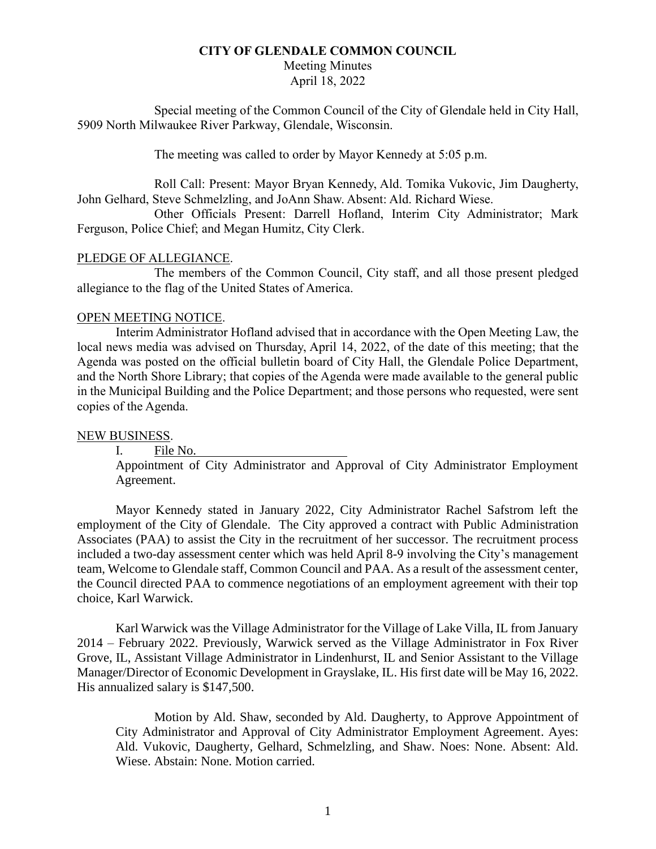### **CITY OF GLENDALE COMMON COUNCIL**

Meeting Minutes

April 18, 2022

Special meeting of the Common Council of the City of Glendale held in City Hall, 5909 North Milwaukee River Parkway, Glendale, Wisconsin.

The meeting was called to order by Mayor Kennedy at 5:05 p.m.

Roll Call: Present: Mayor Bryan Kennedy, Ald. Tomika Vukovic, Jim Daugherty, John Gelhard, Steve Schmelzling, and JoAnn Shaw. Absent: Ald. Richard Wiese.

Other Officials Present: Darrell Hofland, Interim City Administrator; Mark Ferguson, Police Chief; and Megan Humitz, City Clerk.

# PLEDGE OF ALLEGIANCE.

The members of the Common Council, City staff, and all those present pledged allegiance to the flag of the United States of America.

# OPEN MEETING NOTICE.

Interim Administrator Hofland advised that in accordance with the Open Meeting Law, the local news media was advised on Thursday, April 14, 2022, of the date of this meeting; that the Agenda was posted on the official bulletin board of City Hall, the Glendale Police Department, and the North Shore Library; that copies of the Agenda were made available to the general public in the Municipal Building and the Police Department; and those persons who requested, were sent copies of the Agenda.

## NEW BUSINESS.

I. File No.

Appointment of City Administrator and Approval of City Administrator Employment Agreement.

Mayor Kennedy stated in January 2022, City Administrator Rachel Safstrom left the employment of the City of Glendale. The City approved a contract with Public Administration Associates (PAA) to assist the City in the recruitment of her successor. The recruitment process included a two-day assessment center which was held April 8-9 involving the City's management team, Welcome to Glendale staff, Common Council and PAA. As a result of the assessment center, the Council directed PAA to commence negotiations of an employment agreement with their top choice, Karl Warwick.

Karl Warwick was the Village Administrator for the Village of Lake Villa, IL from January 2014 – February 2022. Previously, Warwick served as the Village Administrator in Fox River Grove, IL, Assistant Village Administrator in Lindenhurst, IL and Senior Assistant to the Village Manager/Director of Economic Development in Grayslake, IL. His first date will be May 16, 2022. His annualized salary is \$147,500.

Motion by Ald. Shaw, seconded by Ald. Daugherty, to Approve Appointment of City Administrator and Approval of City Administrator Employment Agreement. Ayes: Ald. Vukovic, Daugherty, Gelhard, Schmelzling, and Shaw. Noes: None. Absent: Ald. Wiese. Abstain: None. Motion carried.